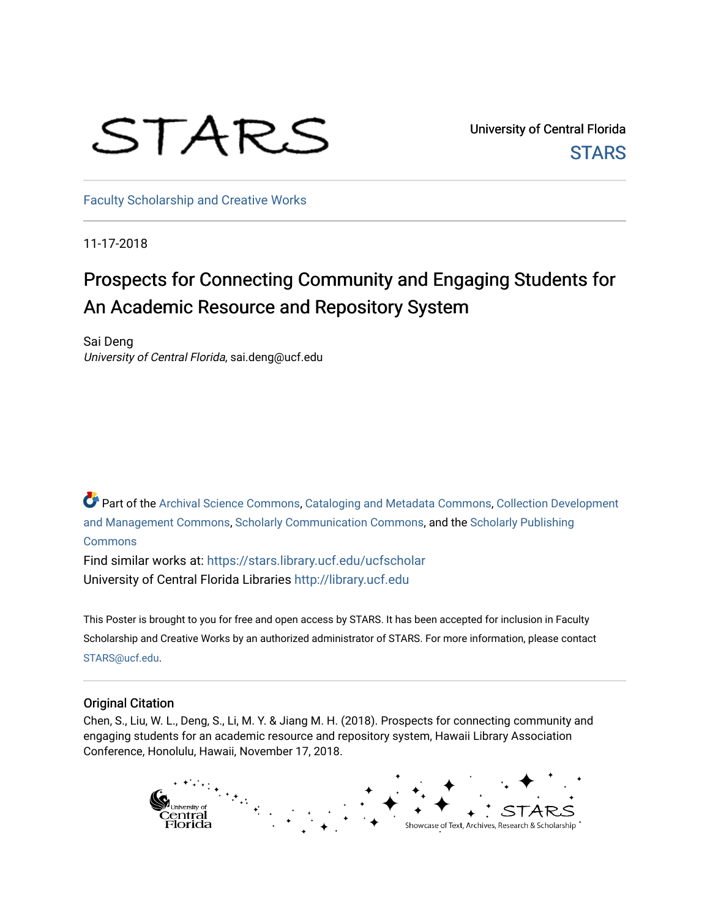## STARS

University of Central Florida **STARS** 

[Faculty Scholarship and Creative Works](https://stars.library.ucf.edu/ucfscholar) 

11-17-2018

## Prospects for Connecting Community and Engaging Students for An Academic Resource and Repository System

Sai Deng University of Central Florida, sai.deng@ucf.edu

Part of the [Archival Science Commons,](http://network.bepress.com/hgg/discipline/1021?utm_source=stars.library.ucf.edu%2Fucfscholar%2F775&utm_medium=PDF&utm_campaign=PDFCoverPages) [Cataloging and Metadata Commons,](http://network.bepress.com/hgg/discipline/1270?utm_source=stars.library.ucf.edu%2Fucfscholar%2F775&utm_medium=PDF&utm_campaign=PDFCoverPages) Collection Development [and Management Commons,](http://network.bepress.com/hgg/discipline/1271?utm_source=stars.library.ucf.edu%2Fucfscholar%2F775&utm_medium=PDF&utm_campaign=PDFCoverPages) [Scholarly Communication Commons,](http://network.bepress.com/hgg/discipline/1272?utm_source=stars.library.ucf.edu%2Fucfscholar%2F775&utm_medium=PDF&utm_campaign=PDFCoverPages) and the [Scholarly Publishing](http://network.bepress.com/hgg/discipline/1273?utm_source=stars.library.ucf.edu%2Fucfscholar%2F775&utm_medium=PDF&utm_campaign=PDFCoverPages) [Commons](http://network.bepress.com/hgg/discipline/1273?utm_source=stars.library.ucf.edu%2Fucfscholar%2F775&utm_medium=PDF&utm_campaign=PDFCoverPages)

Find similar works at: <https://stars.library.ucf.edu/ucfscholar> University of Central Florida Libraries [http://library.ucf.edu](http://library.ucf.edu/) 

This Poster is brought to you for free and open access by STARS. It has been accepted for inclusion in Faculty Scholarship and Creative Works by an authorized administrator of STARS. For more information, please contact [STARS@ucf.edu](mailto:STARS@ucf.edu).

## Original Citation

Chen, S., Liu, W. L., Deng, S., Li, M. Y. & Jiang M. H. (2018). Prospects for connecting community and engaging students for an academic resource and repository system, Hawaii Library Association Conference, Honolulu, Hawaii, November 17, 2018.